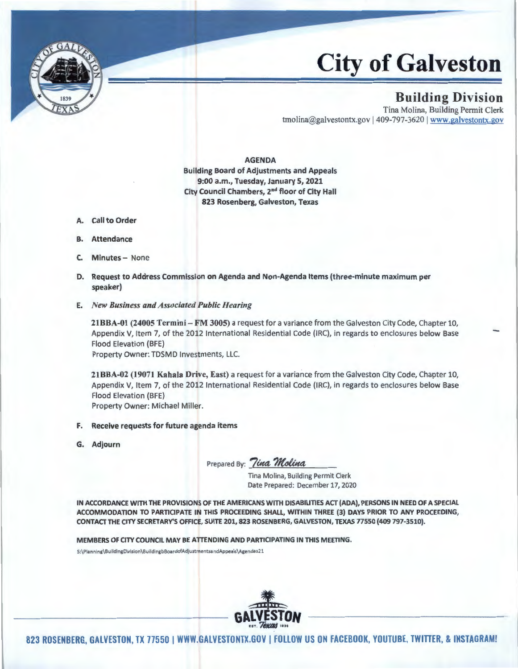

## City **of Galveston**

## Building Division

Tina Molina, Building Permit Clerk tmolina@galvestontx.gov | 409-797-3620 | www.galvestontx.gov

AGENDA Building Board of Adjustments and Appeals 9:00 a.m., Tuesday, January 5, 2021 City Council Chambers, 2"d floor of City Hall 823 Rosenberg, Galveston, Texas

- A. Call to Order
- B. Attendance
- C. Minutes- None
- D. Request to Address Commission on Agenda and Non-Agenda Items {three-minute maximum per speaker)
- E. *New Business and Associated Public Hearing*

21BBA-01 (24005 Termini- FM 3005) a request for a variance from the Galveston City Code, Chapter 10, Appendix V, Item 7, of the 2012 International Residential Code (IRC), in regards to enclosures below Base Flood Elevation (BFE)

Property Owner: TDSMD Investments, LLC.

21BBA-02 (19071 Kahala Drive, East) a request for a variance from the Galveston City Code, Chapter 10, Appendix V, Item 7, of the 2012 International Residential Code (IRC), in regards to enclosures below Base Flood Elevation (BFE) Property Owner: Michael Miller.

- F. Receive requests for future agenda items
- G. Adjourn

Prepared By: Tina Molina

Tina Molina, Building Permit Clerk Date Prepared: December 17, 2020

IN ACCORDANCE WITH THE PROVISIONS OF THE AMERICANS WITH DISABILITIES ACT (ADA}, PERSONS IN NEED OF A SPECIAL ACCOMMODATION TO PARTICIPATE IN THIS PROCEEDING SHALL, WITHIN THREE (3} DAYS PRIOR TO ANY PROCEEDING, CONTACT THE CITY SECRETARY'S OFFICE, SUITE 201, 823 ROSENBERG, GALVESTON, TEXAS 77550 (409 797-3510}.

MEMBERS OF CITY COUNCIL MAY BE ATTENDING AND PARTICIPATING IN THIS MEETING.

S:\Pianning\BuildingDivision\BuildingbBoardofAdjustmentsandAppeals\Agendas21



823 ROSENBERG, GALVESTON, TX 77550 | WWW.GALVESTONTX.GOV | FOLLOW US ON FACEBOOK, YOUTUBE, TWITTER, & INSTAGRAM!